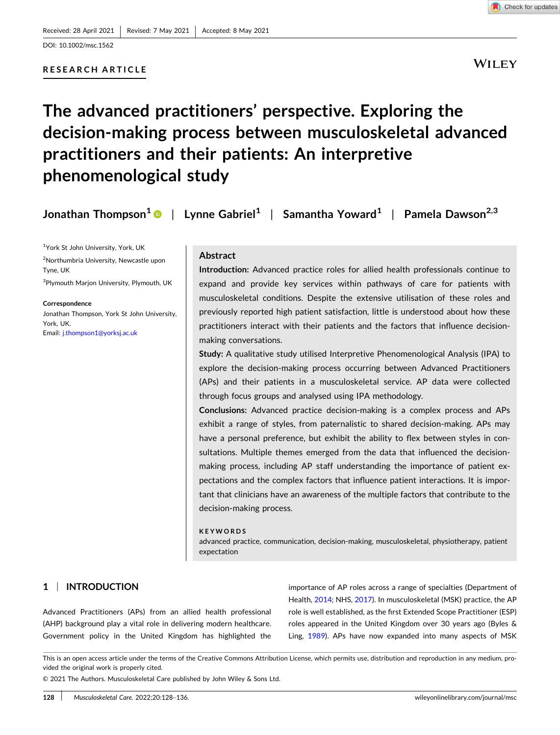DOI: [10.1002/msc.1562](https://doi.org/10.1002/msc.1562)

# **RESEARCH ARTICLE**



**WILEY** 

# **The advanced practitioners' perspective. Exploring the decision‐making process between musculoskeletal advanced practitioners and their patients: An interpretive phenomenological study**

| Jonathan Thompson <sup>1</sup> $\bullet$   Lynne Gabriel <sup>1</sup>   Samantha Yoward <sup>1</sup>   Pamela Dawson <sup>2,3</sup> |  |  |
|-------------------------------------------------------------------------------------------------------------------------------------|--|--|
|-------------------------------------------------------------------------------------------------------------------------------------|--|--|

<sup>1</sup>York St John University, York, UK

2 Northumbria University, Newcastle upon Tyne, UK

3 Plymouth Marjon University, Plymouth, UK

#### **Correspondence**

Jonathan Thompson, York St John University, York, UK. Email: [j.thompson1@yorksj.ac.uk](mailto:j.thompson1@yorksj.ac.uk)

# **Abstract**

**Introduction:** Advanced practice roles for allied health professionals continue to expand and provide key services within pathways of care for patients with musculoskeletal conditions. Despite the extensive utilisation of these roles and previously reported high patient satisfaction, little is understood about how these practitioners interact with their patients and the factors that influence decision‐ making conversations.

**Study:** A qualitative study utilised Interpretive Phenomenological Analysis (IPA) to explore the decision-making process occurring between Advanced Practitioners (APs) and their patients in a musculoskeletal service. AP data were collected through focus groups and analysed using IPA methodology.

**Conclusions:** Advanced practice decision‐making is a complex process and APs exhibit a range of styles, from paternalistic to shared decision-making. APs may have a personal preference, but exhibit the ability to flex between styles in consultations. Multiple themes emerged from the data that influenced the decisionmaking process, including AP staff understanding the importance of patient expectations and the complex factors that influence patient interactions. It is important that clinicians have an awareness of the multiple factors that contribute to the decision‐making process.

#### **KEYWORDS**

advanced practice, communication, decision‐making, musculoskeletal, physiotherapy, patient expectation

# **1** <sup>|</sup> **INTRODUCTION**

Advanced Practitioners (APs) from an allied health professional (AHP) background play a vital role in delivering modern healthcare. Government policy in the United Kingdom has highlighted the importance of AP roles across a range of specialties (Department of Health, [2014;](#page-7-0) NHS, [2017\)](#page-8-0). In musculoskeletal (MSK) practice, the AP role is well established, as the first Extended Scope Practitioner (ESP) roles appeared in the United Kingdom over 30 years ago (Byles & Ling, [1989\)](#page-7-0). APs have now expanded into many aspects of MSK

© 2021 The Authors. Musculoskeletal Care published by John Wiley & Sons Ltd.

This is an open access article under the terms of the Creative Commons Attribution License, which permits use, distribution and reproduction in any medium, provided the original work is properly cited.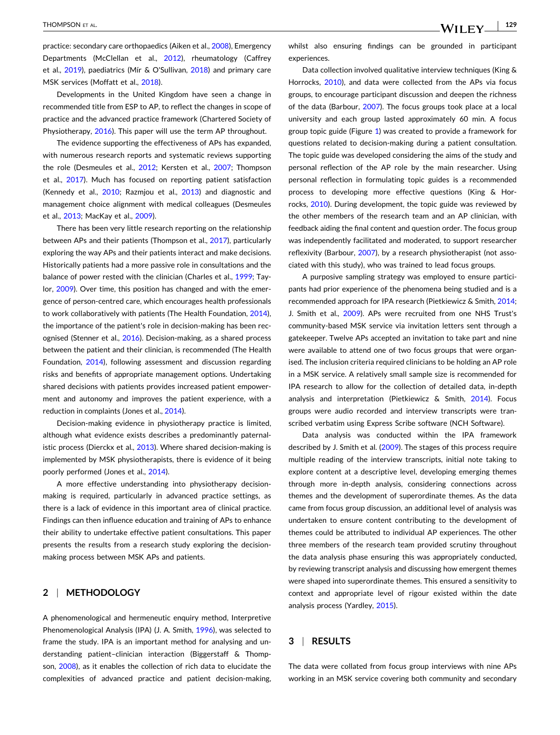practice: secondary care orthopaedics (Aiken et al., [2008](#page-7-0)), Emergency Departments (McClellan et al., [2012\)](#page-8-0), rheumatology (Caffrey et al., [2019\)](#page-7-0), paediatrics (Mír & O'Sullivan, [2018](#page-7-0)) and primary care MSK services (Moffatt et al., [2018\)](#page-8-0).

Developments in the United Kingdom have seen a change in recommended title from ESP to AP, to reflect the changes in scope of practice and the advanced practice framework (Chartered Society of Physiotherapy, [2016](#page-7-0)). This paper will use the term AP throughout.

The evidence supporting the effectiveness of APs has expanded, with numerous research reports and systematic reviews supporting the role (Desmeules et al., [2012;](#page-7-0) Kersten et al., [2007;](#page-7-0) Thompson et al., [2017](#page-8-0)). Much has focused on reporting patient satisfaction (Kennedy et al., [2010](#page-7-0); Razmjou et al., [2013\)](#page-8-0) and diagnostic and management choice alignment with medical colleagues (Desmeules et al., [2013](#page-7-0); MacKay et al., [2009](#page-7-0)).

There has been very little research reporting on the relationship between APs and their patients (Thompson et al., [2017\)](#page-8-0), particularly exploring the way APs and their patients interact and make decisions. Historically patients had a more passive role in consultations and the balance of power rested with the clinician (Charles et al., [1999](#page-7-0); Taylor, [2009](#page-8-0)). Over time, this position has changed and with the emergence of person‐centred care, which encourages health professionals to work collaboratively with patients (The Health Foundation, [2014](#page-8-0)), the importance of the patient's role in decision‐making has been rec-ognised (Stenner et al., [2016\)](#page-8-0). Decision-making, as a shared process between the patient and their clinician, is recommended (The Health Foundation, [2014\)](#page-8-0), following assessment and discussion regarding risks and benefits of appropriate management options. Undertaking shared decisions with patients provides increased patient empowerment and autonomy and improves the patient experience, with a reduction in complaints (Jones et al., [2014\)](#page-7-0).

Decision‐making evidence in physiotherapy practice is limited, although what evidence exists describes a predominantly paternal-istic process (Dierckx et al., [2013\)](#page-7-0). Where shared decision-making is implemented by MSK physiotherapists, there is evidence of it being poorly performed (Jones et al., [2014](#page-7-0)).

A more effective understanding into physiotherapy decision‐ making is required, particularly in advanced practice settings, as there is a lack of evidence in this important area of clinical practice. Findings can then influence education and training of APs to enhance their ability to undertake effective patient consultations. This paper presents the results from a research study exploring the decisionmaking process between MSK APs and patients.

# **2** <sup>|</sup> **METHODOLOGY**

A phenomenological and hermeneutic enquiry method, Interpretive Phenomenological Analysis (IPA) (J. A. Smith, [1996\)](#page-8-0), was selected to frame the study. IPA is an important method for analysing and understanding patient–clinician interaction (Biggerstaff & Thompson, [2008\)](#page-7-0), as it enables the collection of rich data to elucidate the complexities of advanced practice and patient decision‐making,

whilst also ensuring findings can be grounded in participant experiences.

Data collection involved qualitative interview techniques (King & Horrocks, [2010](#page-7-0)), and data were collected from the APs via focus groups, to encourage participant discussion and deepen the richness of the data (Barbour, [2007](#page-7-0)). The focus groups took place at a local university and each group lasted approximately 60 min. A focus group topic guide (Figure [1](#page-2-0)) was created to provide a framework for questions related to decision‐making during a patient consultation. The topic guide was developed considering the aims of the study and personal reflection of the AP role by the main researcher. Using personal reflection in formulating topic guides is a recommended process to developing more effective questions (King & Horrocks, [2010\)](#page-7-0). During development, the topic guide was reviewed by the other members of the research team and an AP clinician, with feedback aiding the final content and question order. The focus group was independently facilitated and moderated, to support researcher reflexivity (Barbour, [2007](#page-7-0)), by a research physiotherapist (not associated with this study), who was trained to lead focus groups.

A purposive sampling strategy was employed to ensure participants had prior experience of the phenomena being studied and is a recommended approach for IPA research (Pietkiewicz & Smith, [2014;](#page-8-0) J. Smith et al., [2009](#page-8-0)). APs were recruited from one NHS Trust's community‐based MSK service via invitation letters sent through a gatekeeper. Twelve APs accepted an invitation to take part and nine were available to attend one of two focus groups that were organised. The inclusion criteria required clinicians to be holding an AP role in a MSK service. A relatively small sample size is recommended for IPA research to allow for the collection of detailed data, in‐depth analysis and interpretation (Pietkiewicz & Smith, [2014](#page-8-0)). Focus groups were audio recorded and interview transcripts were transcribed verbatim using Express Scribe software (NCH Software).

Data analysis was conducted within the IPA framework described by J. Smith et al. ([2009](#page-8-0)). The stages of this process require multiple reading of the interview transcripts, initial note taking to explore content at a descriptive level, developing emerging themes through more in‐depth analysis, considering connections across themes and the development of superordinate themes. As the data came from focus group discussion, an additional level of analysis was undertaken to ensure content contributing to the development of themes could be attributed to individual AP experiences. The other three members of the research team provided scrutiny throughout the data analysis phase ensuring this was appropriately conducted, by reviewing transcript analysis and discussing how emergent themes were shaped into superordinate themes. This ensured a sensitivity to context and appropriate level of rigour existed within the date analysis process (Yardley, [2015\)](#page-8-0).

# **3** <sup>|</sup> **RESULTS**

The data were collated from focus group interviews with nine APs working in an MSK service covering both community and secondary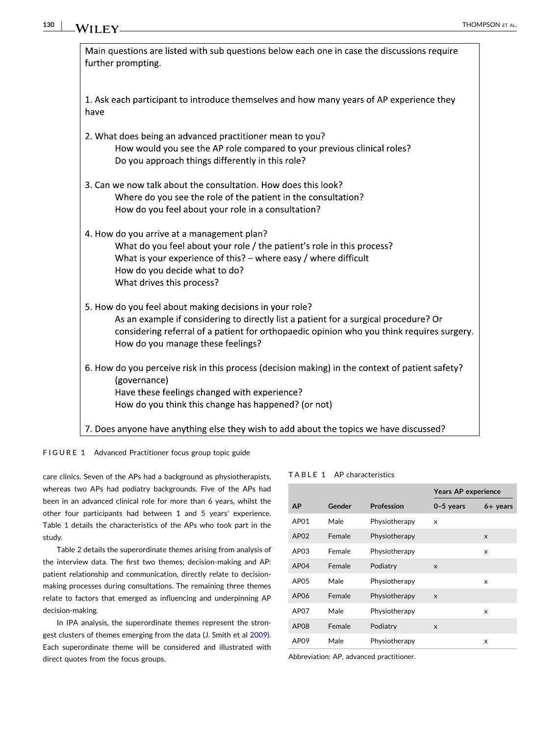<span id="page-2-0"></span>

| Main questions are listed with sub questions below each one in case the discussions require<br>further prompting.                                                                                                                                                                 |  |  |  |  |
|-----------------------------------------------------------------------------------------------------------------------------------------------------------------------------------------------------------------------------------------------------------------------------------|--|--|--|--|
| 1. Ask each participant to introduce themselves and how many years of AP experience they<br>have                                                                                                                                                                                  |  |  |  |  |
| 2. What does being an advanced practitioner mean to you?<br>How would you see the AP role compared to your previous clinical roles?<br>Do you approach things differently in this role?                                                                                           |  |  |  |  |
| 3. Can we now talk about the consultation. How does this look?<br>Where do you see the role of the patient in the consultation?<br>How do you feel about your role in a consultation?                                                                                             |  |  |  |  |
| 4. How do you arrive at a management plan?<br>What do you feel about your role / the patient's role in this process?<br>What is your experience of this? $-$ where easy / where difficult<br>How do you decide what to do?<br>What drives this process?                           |  |  |  |  |
| 5. How do you feel about making decisions in your role?<br>As an example if considering to directly list a patient for a surgical procedure? Or<br>considering referral of a patient for orthopaedic opinion who you think requires surgery.<br>How do you manage these feelings? |  |  |  |  |
| 6. How do you perceive risk in this process (decision making) in the context of patient safety?<br>(governance)<br>Have these feelings changed with experience?<br>How do you think this change has happened? (or not)                                                            |  |  |  |  |
| 7. Does anyone have anything else they wish to add about the topics we have discussed?                                                                                                                                                                                            |  |  |  |  |

**FIGURE 1** Advanced Practitioner focus group topic guide

care clinics. Seven of the APs had a background as physiotherapists, whereas two APs had podiatry backgrounds. Five of the APs had been in an advanced clinical role for more than 6 years, whilst the other four participants had between 1 and 5 years' experience. Table 1 details the characteristics of the APs who took part in the study.

Table [2](#page-3-0) details the superordinate themes arising from analysis of the interview data. The first two themes; decision‐making and AP: patient relationship and communication, directly relate to decisionmaking processes during consultations. The remaining three themes relate to factors that emerged as influencing and underpinning AP decision‐making.

In IPA analysis, the superordinate themes represent the strongest clusters of themes emerging from the data (J. Smith et al [2009](#page-8-0)). Each superordinate theme will be considered and illustrated with direct quotes from the focus groups.

| <b>TABLE 1 AP characteristics</b> |
|-----------------------------------|
|                                   |

|                  |        |                   | <b>Years AP experience</b> |            |
|------------------|--------|-------------------|----------------------------|------------|
| <b>AP</b>        | Gender | <b>Profession</b> | $0-5$ years                | $6+$ years |
| AP01             | Male   | Physiotherapy     | x                          |            |
| AP <sub>02</sub> | Female | Physiotherapy     |                            | X          |
| AP <sub>03</sub> | Female | Physiotherapy     |                            | x          |
| AP <sub>04</sub> | Female | Podiatry          | X                          |            |
| AP <sub>05</sub> | Male   | Physiotherapy     |                            | x          |
| AP06             | Female | Physiotherapy     | X                          |            |
| AP <sub>07</sub> | Male   | Physiotherapy     |                            | x          |
| AP <sub>08</sub> | Female | Podiatry          | X                          |            |
| AP09             | Male   | Physiotherapy     |                            | x          |

Abbreviation: AP, advanced practitioner.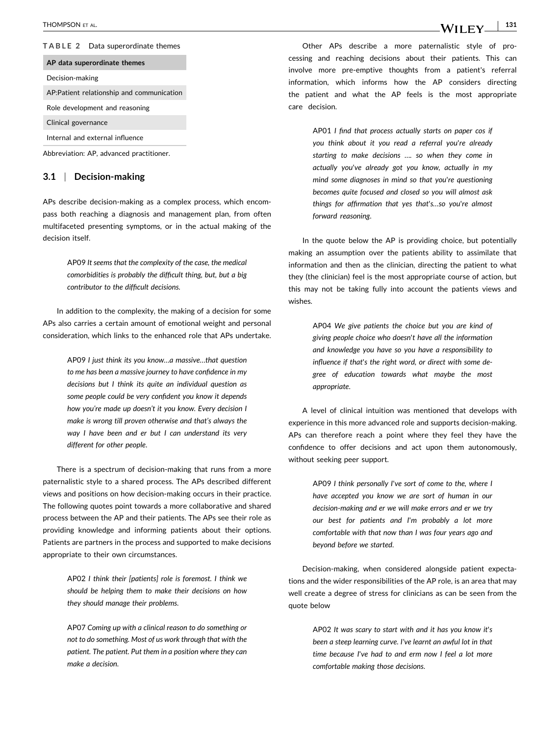### <span id="page-3-0"></span>**TABLE 2** Data superordinate themes

# **AP data superordinate themes**

Decision‐making

AP:Patient relationship and communication

Role development and reasoning

Clinical governance

Internal and external influence

Abbreviation: AP, advanced practitioner.

## **3.1** <sup>|</sup> **Decision‐making**

APs describe decision‐making as a complex process, which encompass both reaching a diagnosis and management plan, from often multifaceted presenting symptoms, or in the actual making of the decision itself.

> AP09 *It seems that the complexity of the case, the medical comorbidities is probably the difficult thing, but, but a big contributor to the difficult decisions*.

In addition to the complexity, the making of a decision for some APs also carries a certain amount of emotional weight and personal consideration, which links to the enhanced role that APs undertake.

> AP09 *I just think its you know…a massive…that question to me has been a massive journey to have confidence in my decisions but I think its quite an individual question as some people could be very confident you know it depends how you're made up doesn't it you know. Every decision I make is wrong till proven otherwise and that's always the way I have been and er but I can understand its very different for other people*.

There is a spectrum of decision-making that runs from a more paternalistic style to a shared process. The APs described different views and positions on how decision‐making occurs in their practice. The following quotes point towards a more collaborative and shared process between the AP and their patients. The APs see their role as providing knowledge and informing patients about their options. Patients are partners in the process and supported to make decisions appropriate to their own circumstances.

> AP02 *I think their [patients] role is foremost. I think we should be helping them to make their decisions on how they should manage their problems*.

> AP07 *Coming up with a clinical reason to do something or not to do something. Most of us work through that with the patient. The patient. Put them in a position where they can make a decision*.

Other APs describe a more paternalistic style of processing and reaching decisions about their patients. This can involve more pre‐emptive thoughts from a patient's referral information, which informs how the AP considers directing the patient and what the AP feels is the most appropriate care decision.

> AP01 *I find that process actually starts on paper cos if you think about it you read a referral you*'*re already starting to make decisions …. so when they come in actually you*'*ve already got you know, actually in my mind some diagnoses in mind so that you*'*re questioning becomes quite focused and closed so you will almost ask things for affirmation that yes that*'*s…so you*'*re almost forward reasoning*.

In the quote below the AP is providing choice, but potentially making an assumption over the patients ability to assimilate that information and then as the clinician, directing the patient to what they (the clinician) feel is the most appropriate course of action, but this may not be taking fully into account the patients views and wishes.

> AP04 *We give patients the choice but you are kind of giving people choice who doesn*'*t have all the information and knowledge you have so you have a responsibility to influence if that*'*s the right word, or direct with some degree of education towards what maybe the most appropriate*.

A level of clinical intuition was mentioned that develops with experience in this more advanced role and supports decision‐making. APs can therefore reach a point where they feel they have the confidence to offer decisions and act upon them autonomously, without seeking peer support.

> AP09 *I think personally I*'*ve sort of come to the, where I have accepted you know we are sort of human in our decision‐making and er we will make errors and er we try our best for patients and I*'*m probably a lot more comfortable with that now than I was four years ago and beyond before we started*.

Decision‐making, when considered alongside patient expectations and the wider responsibilities of the AP role, is an area that may well create a degree of stress for clinicians as can be seen from the quote below

> AP02 *It was scary to start with and it has you know it*'*s been a steep learning curve. I've learnt an awful lot in that time because I*'*ve had to and erm now I feel a lot more comfortable making those decisions*.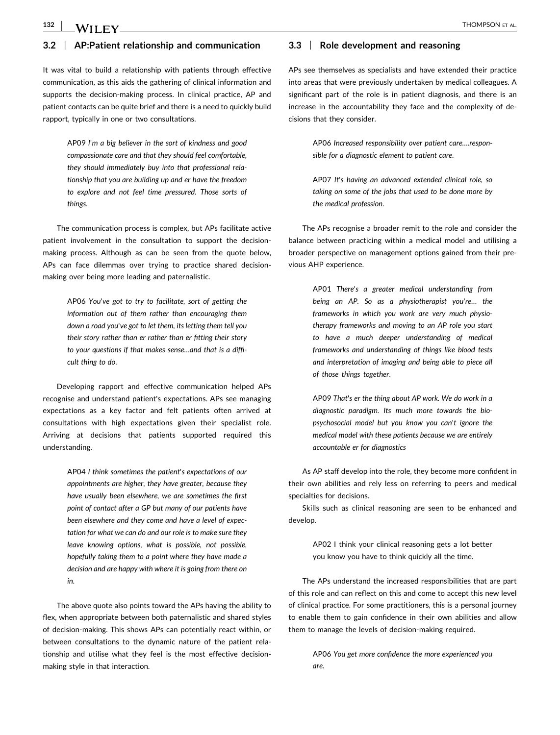#### **132** WII FV  $\sqrt{ }$  Thompson et al.

# **3.2** <sup>|</sup> **AP:Patient relationship and communication**

It was vital to build a relationship with patients through effective communication, as this aids the gathering of clinical information and supports the decision-making process. In clinical practice, AP and patient contacts can be quite brief and there is a need to quickly build rapport, typically in one or two consultations.

> AP09 *I*'*m a big believer in the sort of kindness and good compassionate care and that they should feel comfortable, they should immediately buy into that professional relationship that you are building up and er have the freedom to explore and not feel time pressured. Those sorts of things*.

The communication process is complex, but APs facilitate active patient involvement in the consultation to support the decision‐ making process. Although as can be seen from the quote below, APs can face dilemmas over trying to practice shared decisionmaking over being more leading and paternalistic.

> AP06 *You*'*ve got to try to facilitate, sort of getting the information out of them rather than encouraging them down a road you*'*ve got to let them, its letting them tell you their story rather than er rather than er fitting their story to your questions if that makes sense…and that is a difficult thing to do*.

Developing rapport and effective communication helped APs recognise and understand patient's expectations. APs see managing expectations as a key factor and felt patients often arrived at consultations with high expectations given their specialist role. Arriving at decisions that patients supported required this understanding.

> AP04 *I think sometimes the patient*'*s expectations of our appointments are higher, they have greater, because they have usually been elsewhere, we are sometimes the first point of contact after a GP but many of our patients have been elsewhere and they come and have a level of expectation for what we can do and our role is to make sure they leave knowing options, what is possible, not possible, hopefully taking them to a point where they have made a decision and are happy with where it is going from there on in*.

The above quote also points toward the APs having the ability to flex, when appropriate between both paternalistic and shared styles of decision‐making. This shows APs can potentially react within, or between consultations to the dynamic nature of the patient relationship and utilise what they feel is the most effective decision‐ making style in that interaction.

# **3.3** <sup>|</sup> **Role development and reasoning**

APs see themselves as specialists and have extended their practice into areas that were previously undertaken by medical colleagues. A significant part of the role is in patient diagnosis, and there is an increase in the accountability they face and the complexity of decisions that they consider.

> AP06 *Increased responsibility over patient care….responsible for a diagnostic element to patient care*.

> AP07 *It*'*s having an advanced extended clinical role, so taking on some of the jobs that used to be done more by the medical profession*.

The APs recognise a broader remit to the role and consider the balance between practicing within a medical model and utilising a broader perspective on management options gained from their previous AHP experience.

> AP01 *There*'*s a greater medical understanding from being an AP. So as a physiotherapist you*'*re… the frameworks in which you work are very much physiotherapy frameworks and moving to an AP role you start to have a much deeper understanding of medical frameworks and understanding of things like blood tests and interpretation of imaging and being able to piece all of those things together*.

> AP09 *That*'*s er the thing about AP work. We do work in a diagnostic paradigm. Its much more towards the biopsychosocial model but you know you can*'*t ignore the medical model with these patients because we are entirely accountable er for diagnostics*

As AP staff develop into the role, they become more confident in their own abilities and rely less on referring to peers and medical specialties for decisions.

Skills such as clinical reasoning are seen to be enhanced and develop.

> AP02 I think your clinical reasoning gets a lot better you know you have to think quickly all the time.

The APs understand the increased responsibilities that are part of this role and can reflect on this and come to accept this new level of clinical practice. For some practitioners, this is a personal journey to enable them to gain confidence in their own abilities and allow them to manage the levels of decision‐making required.

> AP06 *You get more confidence the more experienced you are*.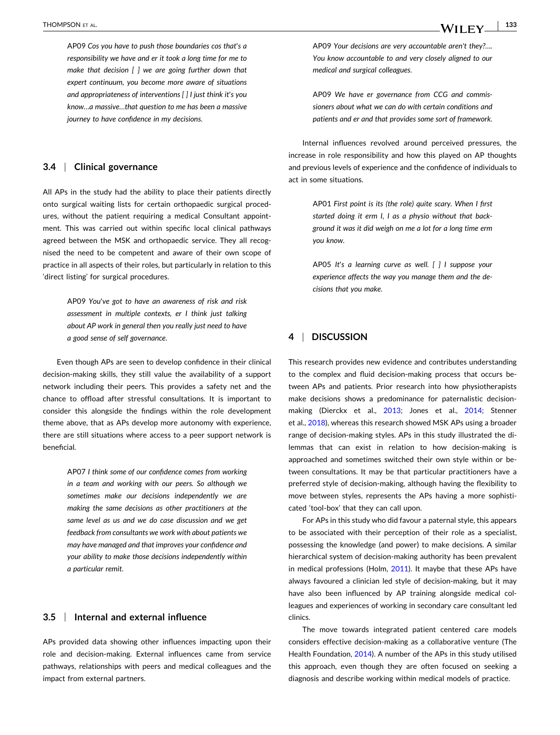AP09 *Cos you have to push those boundaries cos that*'*s a responsibility we have and er it took a long time for me to make that decision [ ] we are going further down that expert continuum, you become more aware of situations and appropriateness of interventions [ ] I just think it*'*s you know…a massive…that question to me has been a massive journey to have confidence in my decisions*.

## **3.4** <sup>|</sup> **Clinical governance**

All APs in the study had the ability to place their patients directly onto surgical waiting lists for certain orthopaedic surgical procedures, without the patient requiring a medical Consultant appointment. This was carried out within specific local clinical pathways agreed between the MSK and orthopaedic service. They all recognised the need to be competent and aware of their own scope of practice in all aspects of their roles, but particularly in relation to this 'direct listing' for surgical procedures.

> AP09 *You*'*ve got to have an awareness of risk and risk assessment in multiple contexts, er I think just talking about AP work in general then you really just need to have a good sense of self governance*.

Even though APs are seen to develop confidence in their clinical decision‐making skills, they still value the availability of a support network including their peers. This provides a safety net and the chance to offload after stressful consultations. It is important to consider this alongside the findings within the role development theme above, that as APs develop more autonomy with experience, there are still situations where access to a peer support network is beneficial.

> AP07 *I think some of our confidence comes from working in a team and working with our peers. So although we sometimes make our decisions independently we are making the same decisions as other practitioners at the same level as us and we do case discussion and we get feedback from consultants we work with about patients we may have managed and that improves your confidence and your ability to make those decisions independently within a particular remit*.

#### **3.5** <sup>|</sup> **Internal and external influence**

APs provided data showing other influences impacting upon their role and decision‐making. External influences came from service pathways, relationships with peers and medical colleagues and the impact from external partners.

AP09 *Your decisions are very accountable aren't they?…. You know accountable to and very closely aligned to our medical and surgical colleagues*.

AP09 *We have er governance from CCG and commissioners about what we can do with certain conditions and patients and er and that provides some sort of framework*.

Internal influences revolved around perceived pressures, the increase in role responsibility and how this played on AP thoughts and previous levels of experience and the confidence of individuals to act in some situations.

> AP01 *First point is its (the role) quite scary. When I first started doing it erm I, I as a physio without that background it was it did weigh on me a lot for a long time erm you know*.

> AP05 *It*'*s a learning curve as well. [ ] I suppose your experience affects the way you manage them and the decisions that you make*.

# **4** <sup>|</sup> **DISCUSSION**

This research provides new evidence and contributes understanding to the complex and fluid decision‐making process that occurs between APs and patients. Prior research into how physiotherapists make decisions shows a predominance for paternalistic decisionmaking (Dierckx et al., [2013](#page-7-0); Jones et al., [2014;](#page-7-0) Stenner et al., [2018](#page-8-0)), whereas this research showed MSK APs using a broader range of decision-making styles. APs in this study illustrated the dilemmas that can exist in relation to how decision‐making is approached and sometimes switched their own style within or between consultations. It may be that particular practitioners have a preferred style of decision-making, although having the flexibility to move between styles, represents the APs having a more sophisticated 'tool‐box' that they can call upon.

For APs in this study who did favour a paternal style, this appears to be associated with their perception of their role as a specialist, possessing the knowledge (and power) to make decisions. A similar hierarchical system of decision-making authority has been prevalent in medical professions (Holm, [2011](#page-7-0)). It maybe that these APs have always favoured a clinician led style of decision‐making, but it may have also been influenced by AP training alongside medical colleagues and experiences of working in secondary care consultant led clinics.

The move towards integrated patient centered care models considers effective decision‐making as a collaborative venture (The Health Foundation, [2014](#page-8-0)). A number of the APs in this study utilised this approach, even though they are often focused on seeking a diagnosis and describe working within medical models of practice.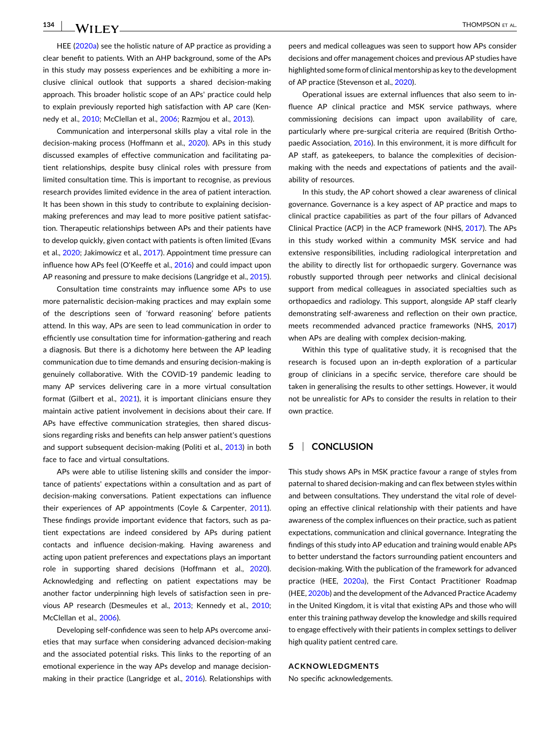HEE [\(2020a\)](#page-7-0) see the holistic nature of AP practice as providing a clear benefit to patients. With an AHP background, some of the APs in this study may possess experiences and be exhibiting a more inclusive clinical outlook that supports a shared decision‐making approach. This broader holistic scope of an APs' practice could help to explain previously reported high satisfaction with AP care (Kennedy et al., [2010;](#page-7-0) McClellan et al., [2006;](#page-8-0) Razmjou et al., [2013\)](#page-8-0).

Communication and interpersonal skills play a vital role in the decision-making process (Hoffmann et al., [2020\)](#page-7-0). APs in this study discussed examples of effective communication and facilitating patient relationships, despite busy clinical roles with pressure from limited consultation time. This is important to recognise, as previous research provides limited evidence in the area of patient interaction. It has been shown in this study to contribute to explaining decisionmaking preferences and may lead to more positive patient satisfaction. Therapeutic relationships between APs and their patients have to develop quickly, given contact with patients is often limited (Evans et al., [2020](#page-7-0); Jakimowicz et al., [2017](#page-7-0)). Appointment time pressure can influence how APs feel (O'Keeffe et al., [2016\)](#page-8-0) and could impact upon AP reasoning and pressure to make decisions (Langridge et al., [2015](#page-7-0)).

Consultation time constraints may influence some APs to use more paternalistic decision‐making practices and may explain some of the descriptions seen of 'forward reasoning' before patients attend. In this way, APs are seen to lead communication in order to efficiently use consultation time for information‐gathering and reach a diagnosis. But there is a dichotomy here between the AP leading communication due to time demands and ensuring decision‐making is genuinely collaborative. With the COVID‐19 pandemic leading to many AP services delivering care in a more virtual consultation format (Gilbert et al., [2021\)](#page-7-0), it is important clinicians ensure they maintain active patient involvement in decisions about their care. If APs have effective communication strategies, then shared discussions regarding risks and benefits can help answer patient's questions and support subsequent decision‐making (Politi et al., [2013\)](#page-8-0) in both face to face and virtual consultations.

APs were able to utilise listening skills and consider the importance of patients' expectations within a consultation and as part of decision‐making conversations. Patient expectations can influence their experiences of AP appointments (Coyle & Carpenter, [2011](#page-7-0)). These findings provide important evidence that factors, such as patient expectations are indeed considered by APs during patient contacts and influence decision‐making. Having awareness and acting upon patient preferences and expectations plays an important role in supporting shared decisions (Hoffmann et al., [2020](#page-7-0)). Acknowledging and reflecting on patient expectations may be another factor underpinning high levels of satisfaction seen in previous AP research (Desmeules et al., [2013](#page-7-0); Kennedy et al., [2010](#page-7-0); McClellan et al., [2006](#page-8-0)).

Developing self‐confidence was seen to help APs overcome anxieties that may surface when considering advanced decision‐making and the associated potential risks. This links to the reporting of an emotional experience in the way APs develop and manage decision‐ making in their practice (Langridge et al., [2016\)](#page-7-0). Relationships with

peers and medical colleagues was seen to support how APs consider decisions and offer management choices and previous AP studies have highlighted some form of clinical mentorship as key to the development of AP practice (Stevenson et al., [2020](#page-8-0)).

Operational issues are external influences that also seem to influence AP clinical practice and MSK service pathways, where commissioning decisions can impact upon availability of care, particularly where pre‐surgical criteria are required (British Orthopaedic Association, [2016\)](#page-7-0). In this environment, it is more difficult for AP staff, as gatekeepers, to balance the complexities of decisionmaking with the needs and expectations of patients and the availability of resources.

In this study, the AP cohort showed a clear awareness of clinical governance. Governance is a key aspect of AP practice and maps to clinical practice capabilities as part of the four pillars of Advanced Clinical Practice (ACP) in the ACP framework (NHS, [2017](#page-8-0)). The APs in this study worked within a community MSK service and had extensive responsibilities, including radiological interpretation and the ability to directly list for orthopaedic surgery. Governance was robustly supported through peer networks and clinical decisional support from medical colleagues in associated specialties such as orthopaedics and radiology. This support, alongside AP staff clearly demonstrating self‐awareness and reflection on their own practice, meets recommended advanced practice frameworks (NHS, [2017](#page-8-0)) when APs are dealing with complex decision-making.

Within this type of qualitative study, it is recognised that the research is focused upon an in‐depth exploration of a particular group of clinicians in a specific service, therefore care should be taken in generalising the results to other settings. However, it would not be unrealistic for APs to consider the results in relation to their own practice.

# **5** <sup>|</sup> **CONCLUSION**

This study shows APs in MSK practice favour a range of styles from paternal to shared decision-making and can flex between styles within and between consultations. They understand the vital role of developing an effective clinical relationship with their patients and have awareness of the complex influences on their practice, such as patient expectations, communication and clinical governance. Integrating the findings of this study into AP education and training would enable APs to better understand the factors surrounding patient encounters and decision‐making. With the publication of the framework for advanced practice (HEE, [2020a\)](#page-7-0), the First Contact Practitioner Roadmap (HEE, [2020b\)](#page-7-0) and the development of the Advanced Practice Academy in the United Kingdom, it is vital that existing APs and those who will enter this training pathway develop the knowledge and skills required to engage effectively with their patients in complex settings to deliver high quality patient centred care.

#### **ACKNOWLEDGMENTS**

No specific acknowledgements.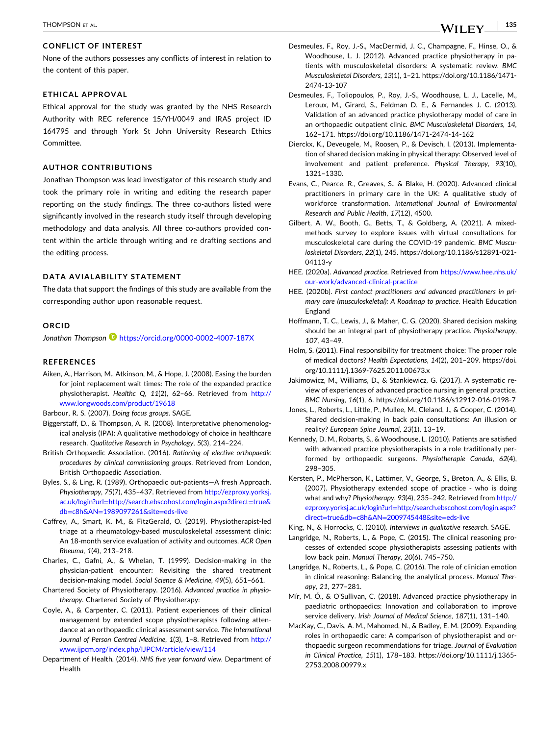#### <span id="page-7-0"></span>**CONFLICT OF INTEREST**

None of the authors possesses any conflicts of interest in relation to the content of this paper.

# **ETHICAL APPROVAL**

Ethical approval for the study was granted by the NHS Research Authority with REC reference 15/YH/0049 and IRAS project ID 164795 and through York St John University Research Ethics Committee.

## **AUTHOR CONTRIBUTIONS**

Jonathan Thompson was lead investigator of this research study and took the primary role in writing and editing the research paper reporting on the study findings. The three co-authors listed were significantly involved in the research study itself through developing methodology and data analysis. All three co-authors provided content within the article through writing and re drafting sections and the editing process.

#### **DATA AVIALABILITY STATEMENT**

The data that support the findings of this study are available from the corresponding author upon reasonable request.

#### **ORCID**

*Jonathan Thompson* <https://orcid.org/0000-0002-4007-187X>

#### **REFERENCES**

Aiken, A., Harrison, M., Atkinson, M., & Hope, J. (2008). Easing the burden for joint replacement wait times: The role of the expanded practice physiotherapist. *Healthc Q*, *11*(2), 62–66. Retrieved from [http://](http://www.longwoods.com/product/19618) [www.longwoods.com/product/19618](http://www.longwoods.com/product/19618)

Barbour, R. S. (2007). *Doing focus groups*. SAGE.

- Biggerstaff, D., & Thompson, A. R. (2008). Interpretative phenomenological analysis (IPA): A qualitative methodology of choice in healthcare research. *Qualitative Research in Psychology*, *5*(3), 214–224.
- British Orthopaedic Association. (2016). *Rationing of elective orthopaedic procedures by clinical commissioning groups*. Retrieved from London, British Orthopaedic Association.
- Byles, S., & Ling, R. (1989). Orthopaedic out‐patients—A fresh Approach. *Physiotherapy*, *75*(7), 435–437. Retrieved from [http://ezproxy.yorksj.](http://ezproxy.yorksj.ac.uk/login?url=http://search.ebscohost.com/login.aspx?direct=true%26db=c8h%26AN=1989097261%26site=eds-live) ac.uk/login?url=[http://search.ebscohost.com/login.aspx?direct](http://ezproxy.yorksj.ac.uk/login?url=http://search.ebscohost.com/login.aspx?direct=true%26db=c8h%26AN=1989097261%26site=eds-live)=true& db=c8h&AN=[1989097261&site](http://ezproxy.yorksj.ac.uk/login?url=http://search.ebscohost.com/login.aspx?direct=true%26db=c8h%26AN=1989097261%26site=eds-live)=eds‐live
- Caffrey, A., Smart, K. M., & FitzGerald, O. (2019). Physiotherapist‐led triage at a rheumatology‐based musculoskeletal assessment clinic: An 18‐month service evaluation of activity and outcomes. *ACR Open Rheuma*, *1*(4), 213–218.
- Charles, C., Gafni, A., & Whelan, T. (1999). Decision‐making in the physician‐patient encounter: Revisiting the shared treatment decision‐making model. *Social Science & Medicine*, *49*(5), 651–661.
- Chartered Society of Physiotherapy. (2016). *Advanced practice in physiotherapy*. Chartered Society of Physiotherapy:
- Coyle, A., & Carpenter, C. (2011). Patient experiences of their clinical management by extended scope physiotherapists following attendance at an orthopaedic clinical assessment service. *The International Journal of Person Centred Medicine*, *1*(3), 1–8. Retrieved from [http://](http://www.ijpcm.org/index.php/IJPCM/article/view/114) [www.ijpcm.org/index.php/IJPCM/article/view/114](http://www.ijpcm.org/index.php/IJPCM/article/view/114)
- Department of Health. (2014). *NHS five year forward view*. Department of Health
- Desmeules, F., Roy, J.‐S., MacDermid, J. C., Champagne, F., Hinse, O., & Woodhouse, L. J. (2012). Advanced practice physiotherapy in patients with musculoskeletal disorders: A systematic review. *BMC Musculoskeletal Disorders*, *13*(1), 1–21. [https://doi.org/10.1186/1471](https://doi.org/10.1186/1471-2474-13-107)‐ [2474](https://doi.org/10.1186/1471-2474-13-107)‐13‐107
- Desmeules, F., Toliopoulos, P., Roy, J.‐S., Woodhouse, L. J., Lacelle, M., Leroux, M., Girard, S., Feldman D. E., & Fernandes J. C. (2013). Validation of an advanced practice physiotherapy model of care in an orthopaedic outpatient clinic. *BMC Musculoskeletal Disorders*, *14*, 162–171. [https://doi.org/10.1186/1471](https://doi.org/10.1186/1471-2474-14-162)‐2474‐14‐162
- Dierckx, K., Deveugele, M., Roosen, P., & Devisch, I. (2013). Implementation of shared decision making in physical therapy: Observed level of involvement and patient preference. *Physical Therapy*, *93*(10), 1321–1330.
- Evans, C., Pearce, R., Greaves, S., & Blake, H. (2020). Advanced clinical practitioners in primary care in the UK: A qualitative study of workforce transformation. *International Journal of Environmental Research and Public Health*, *17*(12), 4500.
- Gilbert, A. W., Booth, G., Betts, T., & Goldberg, A. (2021). A mixed‐ methods survey to explore issues with virtual consultations for musculoskeletal care during the COVID‐19 pandemic. *BMC Musculoskeletal Disorders*, *22*(1), 245. [https://doi.org/10.1186/s12891](https://doi.org/10.1186/s12891-021-04113-y)‐021‐ [04113](https://doi.org/10.1186/s12891-021-04113-y)‐y
- HEE. (2020a). *Advanced practice*. Retrieved from [https://www.hee.nhs.uk/](https://www.hee.nhs.uk/our-work/advanced-clinical-practice) our‐[work/advanced](https://www.hee.nhs.uk/our-work/advanced-clinical-practice)‐clinical‐practice
- HEE. (2020b). *First contact practitioners and advanced practitioners in primary care (musculoskeletal): A Roadmap to practice*. Health Education England
- Hoffmann, T. C., Lewis, J., & Maher, C. G. (2020). Shared decision making should be an integral part of physiotherapy practice. *Physiotherapy*, *107*, 43–49.
- Holm, S. (2011). Final responsibility for treatment choice: The proper role of medical doctors? *Health Expectations*, *14*(2), 201–209. [https://doi.](https://doi.org/10.1111/j.1369-7625.2011.00673.x) [org/10.1111/j.1369](https://doi.org/10.1111/j.1369-7625.2011.00673.x)‐7625.2011.00673.x
- Jakimowicz, M., Williams, D., & Stankiewicz, G. (2017). A systematic review of experiences of advanced practice nursing in general practice. *BMC Nursing*, *16*(1), 6. [https://doi.org/10.1186/s12912](https://doi.org/10.1186/s12912-016-0198-7)‐016‐0198‐7
- Jones, L., Roberts, L., Little, P., Mullee, M., Cleland, J., & Cooper, C. (2014). Shared decision‐making in back pain consultations: An illusion or reality? *European Spine Journal*, *23*(1), 13–19.
- Kennedy, D. M., Robarts, S., & Woodhouse, L. (2010). Patients are satisfied with advanced practice physiotherapists in a role traditionally performed by orthopaedic surgeons. *Physiotherapie Canada*, *62*(4), 298–305.
- Kersten, P., McPherson, K., Lattimer, V., George, S., Breton, A., & Ellis, B. (2007). Physiotherapy extended scope of practice ‐ who is doing what and why? *Physiotherapy*, *93*(4), 235–242. Retrieved from [http://](http://ezproxy.yorksj.ac.uk/login?url=http://search.ebscohost.com/login.aspx?direct=true%26db=c8h%26AN=2009745448%26site=eds-live) ezproxy.yorksj.ac.uk/login?url=[http://search.ebscohost.com/login.aspx?](http://ezproxy.yorksj.ac.uk/login?url=http://search.ebscohost.com/login.aspx?direct=true%26db=c8h%26AN=2009745448%26site=eds-live) direct=true&db=c8h&AN=[2009745448&site](http://ezproxy.yorksj.ac.uk/login?url=http://search.ebscohost.com/login.aspx?direct=true%26db=c8h%26AN=2009745448%26site=eds-live)=eds‐live

King, N., & Horrocks, C. (2010). *Interviews in qualitative research*. SAGE.

- Langridge, N., Roberts, L., & Pope, C. (2015). The clinical reasoning processes of extended scope physiotherapists assessing patients with low back pain. *Manual Therapy*, *20*(6), 745–750.
- Langridge, N., Roberts, L., & Pope, C. (2016). The role of clinician emotion in clinical reasoning: Balancing the analytical process. *Manual Therapy*, *21*, 277–281.
- Mír, M. Ó., & O'Sullivan, C. (2018). Advanced practice physiotherapy in paediatric orthopaedics: Innovation and collaboration to improve service delivery. *Irish Journal of Medical Science*, *187*(1), 131–140.
- MacKay, C., Davis, A. M., Mahomed, N., & Badley, E. M. (2009). Expanding roles in orthopaedic care: A comparison of physiotherapist and orthopaedic surgeon recommendations for triage. *Journal of Evaluation in Clinical Practice*, *15*(1), 178–183. [https://doi.org/10.1111/j.1365](https://doi.org/10.1111/j.1365-2753.2008.00979.x)‐ [2753.2008.00979.x](https://doi.org/10.1111/j.1365-2753.2008.00979.x)